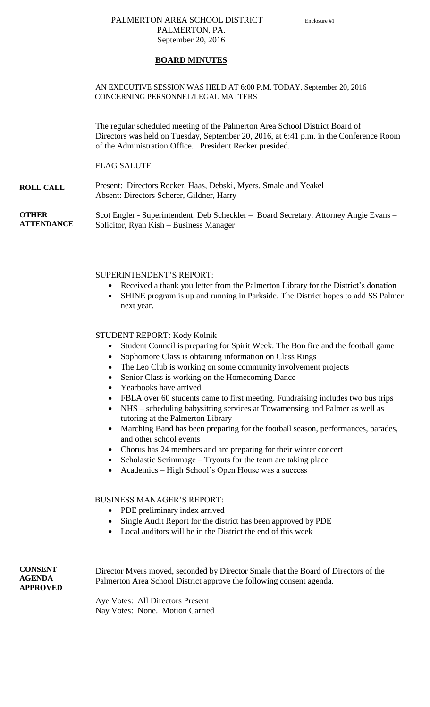## PALMERTON AREA SCHOOL DISTRICT Enclosure #1 PALMERTON, PA. September 20, 2016

### **BOARD MINUTES**

### AN EXECUTIVE SESSION WAS HELD AT 6:00 P.M. TODAY, September 20, 2016 CONCERNING PERSONNEL/LEGAL MATTERS

The regular scheduled meeting of the Palmerton Area School District Board of Directors was held on Tuesday, September 20, 2016, at 6:41 p.m. in the Conference Room of the Administration Office. President Recker presided.

### FLAG SALUTE

**ROLL CALL** Present: Directors Recker, Haas, Debski, Myers, Smale and Yeakel Absent: Directors Scherer, Gildner, Harry

**OTHER ATTENDANCE** Scot Engler - Superintendent, Deb Scheckler – Board Secretary, Attorney Angie Evans – Solicitor, Ryan Kish – Business Manager

### SUPERINTENDENT'S REPORT:

- Received a thank you letter from the Palmerton Library for the District's donation
- SHINE program is up and running in Parkside. The District hopes to add SS Palmer next year.

### STUDENT REPORT: Kody Kolnik

- Student Council is preparing for Spirit Week. The Bon fire and the football game
- Sophomore Class is obtaining information on Class Rings
- The Leo Club is working on some community involvement projects
- Senior Class is working on the Homecoming Dance
- Yearbooks have arrived
- FBLA over 60 students came to first meeting. Fundraising includes two bus trips
- NHS scheduling babysitting services at Towamensing and Palmer as well as tutoring at the Palmerton Library
- Marching Band has been preparing for the football season, performances, parades, and other school events
- Chorus has 24 members and are preparing for their winter concert
- Scholastic Scrimmage Tryouts for the team are taking place
- Academics High School's Open House was a success

### BUSINESS MANAGER'S REPORT:

- PDE preliminary index arrived
- Single Audit Report for the district has been approved by PDE
- Local auditors will be in the District the end of this week

**CONSENT AGENDA APPROVED**

Director Myers moved, seconded by Director Smale that the Board of Directors of the Palmerton Area School District approve the following consent agenda.

Aye Votes: All Directors Present Nay Votes: None. Motion Carried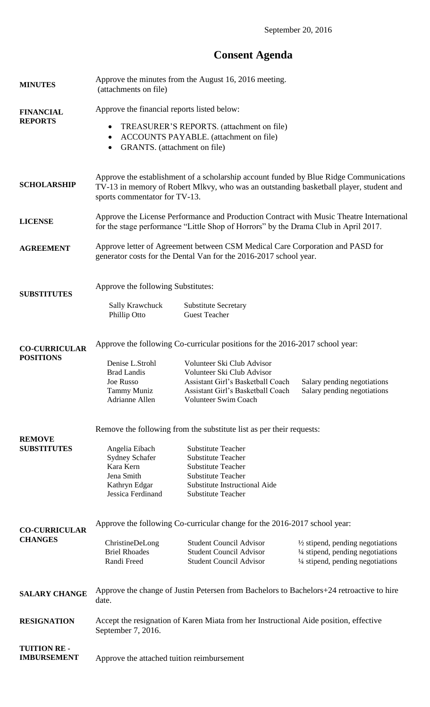# **Consent Agenda**

| <b>MINUTES</b>                           | Approve the minutes from the August 16, 2016 meeting.<br>(attachments on file)                                                                                                  |                                                                  |                                                                        |
|------------------------------------------|---------------------------------------------------------------------------------------------------------------------------------------------------------------------------------|------------------------------------------------------------------|------------------------------------------------------------------------|
| <b>FINANCIAL</b>                         | Approve the financial reports listed below:                                                                                                                                     |                                                                  |                                                                        |
| <b>REPORTS</b>                           | TREASURER'S REPORTS. (attachment on file)<br>$\bullet$                                                                                                                          |                                                                  |                                                                        |
|                                          | ACCOUNTS PAYABLE. (attachment on file)<br>٠                                                                                                                                     |                                                                  |                                                                        |
|                                          | GRANTS. (attachment on file)<br>٠                                                                                                                                               |                                                                  |                                                                        |
|                                          | Approve the establishment of a scholarship account funded by Blue Ridge Communications                                                                                          |                                                                  |                                                                        |
| <b>SCHOLARSHIP</b>                       | TV-13 in memory of Robert Mlkvy, who was an outstanding basketball player, student and<br>sports commentator for TV-13.                                                         |                                                                  |                                                                        |
|                                          |                                                                                                                                                                                 |                                                                  |                                                                        |
| <b>LICENSE</b>                           | Approve the License Performance and Production Contract with Music Theatre International<br>for the stage performance "Little Shop of Horrors" by the Drama Club in April 2017. |                                                                  |                                                                        |
| <b>AGREEMENT</b>                         | Approve letter of Agreement between CSM Medical Care Corporation and PASD for<br>generator costs for the Dental Van for the 2016-2017 school year.                              |                                                                  |                                                                        |
|                                          |                                                                                                                                                                                 |                                                                  |                                                                        |
| <b>SUBSTITUTES</b>                       | Approve the following Substitutes:                                                                                                                                              |                                                                  |                                                                        |
|                                          | Sally Krawchuck                                                                                                                                                                 | <b>Substitute Secretary</b>                                      |                                                                        |
|                                          | Phillip Otto                                                                                                                                                                    | <b>Guest Teacher</b>                                             |                                                                        |
| <b>CO-CURRICULAR</b><br><b>POSITIONS</b> | Approve the following Co-curricular positions for the 2016-2017 school year:                                                                                                    |                                                                  |                                                                        |
|                                          | Denise L.Strohl                                                                                                                                                                 | Volunteer Ski Club Advisor                                       |                                                                        |
|                                          | <b>Brad Landis</b><br>Joe Russo                                                                                                                                                 | Volunteer Ski Club Advisor<br>Assistant Girl's Basketball Coach  | Salary pending negotiations                                            |
|                                          | Tammy Muniz                                                                                                                                                                     | Assistant Girl's Basketball Coach                                | Salary pending negotiations                                            |
|                                          | Adrianne Allen                                                                                                                                                                  | <b>Volunteer Swim Coach</b>                                      |                                                                        |
|                                          | Remove the following from the substitute list as per their requests:                                                                                                            |                                                                  |                                                                        |
| <b>REMOVE</b><br><b>SUBSTITUTES</b>      |                                                                                                                                                                                 | <b>Substitute Teacher</b>                                        |                                                                        |
|                                          | Angelia Eibach<br>Sydney Schafer                                                                                                                                                | <b>Substitute Teacher</b>                                        |                                                                        |
|                                          | Kara Kern                                                                                                                                                                       | <b>Substitute Teacher</b>                                        |                                                                        |
|                                          | Jena Smith<br>Kathryn Edgar                                                                                                                                                     | <b>Substitute Teacher</b><br>Substitute Instructional Aide       |                                                                        |
|                                          | Jessica Ferdinand                                                                                                                                                               | <b>Substitute Teacher</b>                                        |                                                                        |
|                                          |                                                                                                                                                                                 |                                                                  |                                                                        |
| <b>CO-CURRICULAR</b>                     | Approve the following Co-curricular change for the 2016-2017 school year:                                                                                                       |                                                                  |                                                                        |
| <b>CHANGES</b>                           | ChristineDeLong                                                                                                                                                                 | <b>Student Council Advisor</b>                                   | $\frac{1}{2}$ stipend, pending negotiations                            |
|                                          | <b>Briel Rhoades</b><br>Randi Freed                                                                                                                                             | <b>Student Council Advisor</b><br><b>Student Council Advisor</b> | 1/4 stipend, pending negotiations<br>1/4 stipend, pending negotiations |
| <b>SALARY CHANGE</b>                     | Approve the change of Justin Petersen from Bachelors to Bachelors+24 retroactive to hire                                                                                        |                                                                  |                                                                        |
|                                          | date.                                                                                                                                                                           |                                                                  |                                                                        |
| <b>RESIGNATION</b>                       | Accept the resignation of Karen Miata from her Instructional Aide position, effective<br>September 7, 2016.                                                                     |                                                                  |                                                                        |
| <b>TUITION RE-</b>                       |                                                                                                                                                                                 |                                                                  |                                                                        |
| <b>IMBURSEMENT</b>                       | Approve the attached tuition reimbursement                                                                                                                                      |                                                                  |                                                                        |